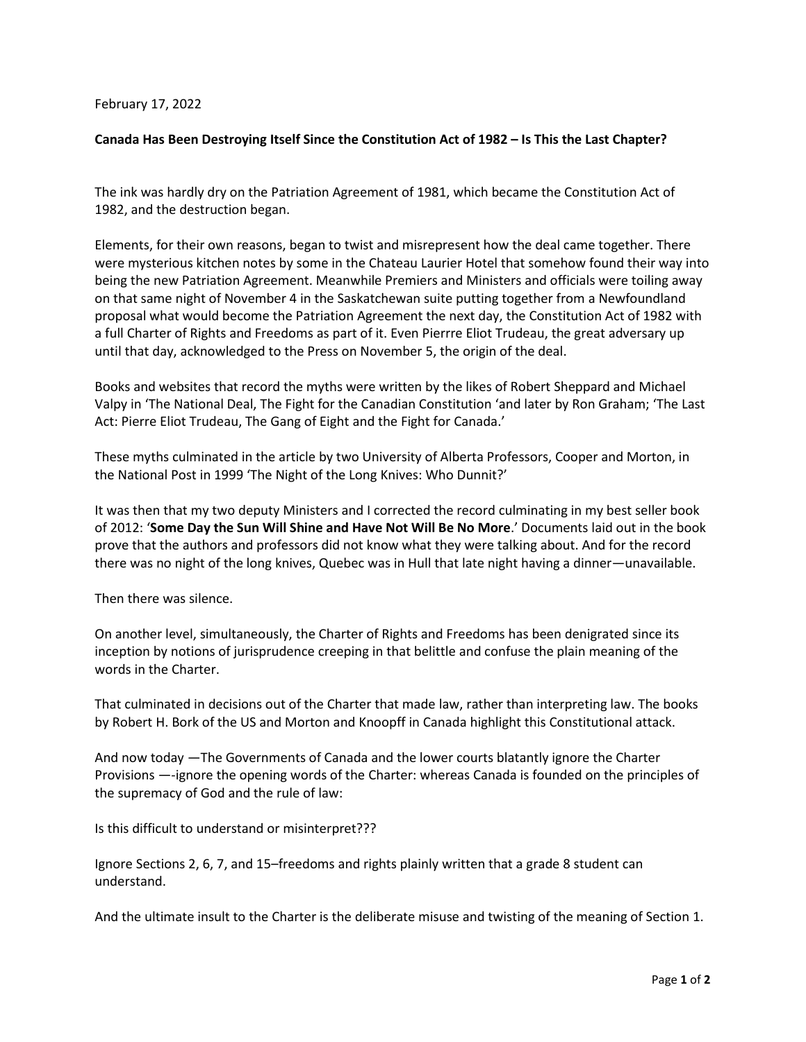## February 17, 2022

## **Canada Has Been Destroying Itself Since the Constitution Act of 1982 – Is This the Last Chapter?**

The ink was hardly dry on the Patriation Agreement of 1981, which became the Constitution Act of 1982, and the destruction began.

Elements, for their own reasons, began to twist and misrepresent how the deal came together. There were mysterious kitchen notes by some in the Chateau Laurier Hotel that somehow found their way into being the new Patriation Agreement. Meanwhile Premiers and Ministers and officials were toiling away on that same night of November 4 in the Saskatchewan suite putting together from a Newfoundland proposal what would become the Patriation Agreement the next day, the Constitution Act of 1982 with a full Charter of Rights and Freedoms as part of it. Even Pierrre Eliot Trudeau, the great adversary up until that day, acknowledged to the Press on November 5, the origin of the deal.

Books and websites that record the myths were written by the likes of Robert Sheppard and Michael Valpy in 'The National Deal, The Fight for the Canadian Constitution 'and later by Ron Graham; 'The Last Act: Pierre Eliot Trudeau, The Gang of Eight and the Fight for Canada.'

These myths culminated in the article by two University of Alberta Professors, Cooper and Morton, in the National Post in 1999 'The Night of the Long Knives: Who Dunnit?'

It was then that my two deputy Ministers and I corrected the record culminating in my best seller book of 2012: '**Some Day the Sun Will Shine and Have Not Will Be No More**.' Documents laid out in the book prove that the authors and professors did not know what they were talking about. And for the record there was no night of the long knives, Quebec was in Hull that late night having a dinner—unavailable.

Then there was silence.

On another level, simultaneously, the Charter of Rights and Freedoms has been denigrated since its inception by notions of jurisprudence creeping in that belittle and confuse the plain meaning of the words in the Charter.

That culminated in decisions out of the Charter that made law, rather than interpreting law. The books by Robert H. Bork of the US and Morton and Knoopff in Canada highlight this Constitutional attack.

And now today —The Governments of Canada and the lower courts blatantly ignore the Charter Provisions —-ignore the opening words of the Charter: whereas Canada is founded on the principles of the supremacy of God and the rule of law:

Is this difficult to understand or misinterpret???

Ignore Sections 2, 6, 7, and 15–freedoms and rights plainly written that a grade 8 student can understand.

And the ultimate insult to the Charter is the deliberate misuse and twisting of the meaning of Section 1.